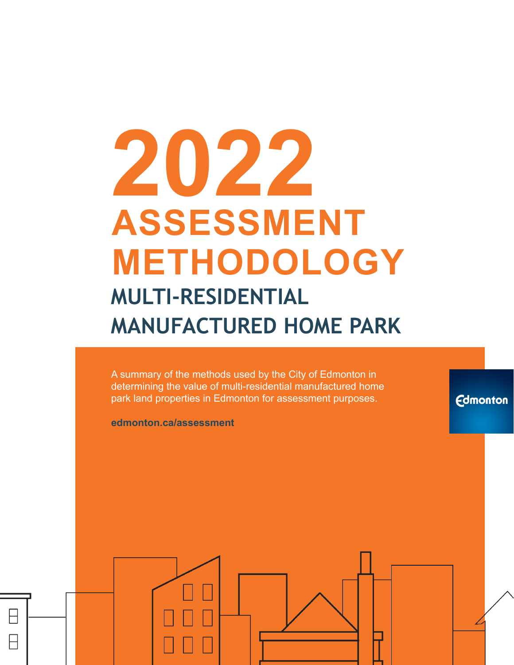# **2022 ASSESSMENT METHODOLOGY MULTI-RESIDENTIAL MANUFACTURED HOME PARK**

A summary of the methods used by the City of Edmonton in determining the value of multi-residential manufactured home park land properties in Edmonton for assessment purposes.

**Edmonton** 

**edmonton.ca/assessment**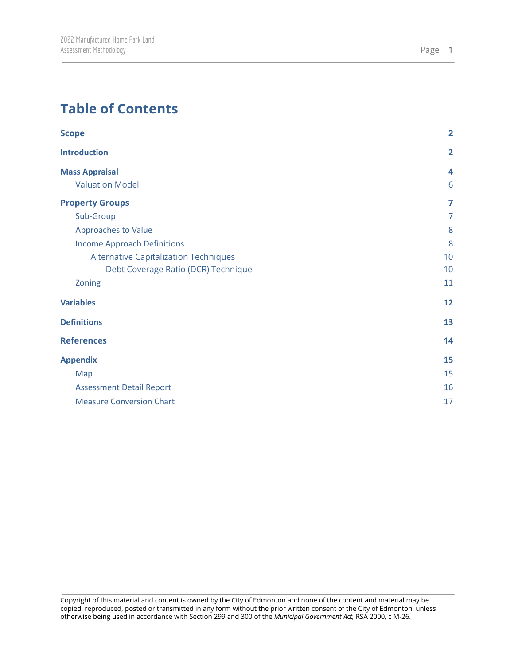# **Table of Contents**

| <b>Scope</b>                                 | $\overline{2}$ |
|----------------------------------------------|----------------|
| <b>Introduction</b>                          | $\overline{2}$ |
| <b>Mass Appraisal</b>                        | 4              |
| <b>Valuation Model</b>                       | 6              |
| <b>Property Groups</b>                       | 7              |
| Sub-Group                                    | $\overline{7}$ |
| <b>Approaches to Value</b>                   | 8              |
| <b>Income Approach Definitions</b>           | 8              |
| <b>Alternative Capitalization Techniques</b> | 10             |
| Debt Coverage Ratio (DCR) Technique          | 10             |
| Zoning                                       | 11             |
| <b>Variables</b>                             | 12             |
| <b>Definitions</b>                           | 13             |
| <b>References</b>                            | 14             |
| <b>Appendix</b>                              | 15             |
| Map                                          | 15             |
| <b>Assessment Detail Report</b>              | 16             |
| <b>Measure Conversion Chart</b>              | 17             |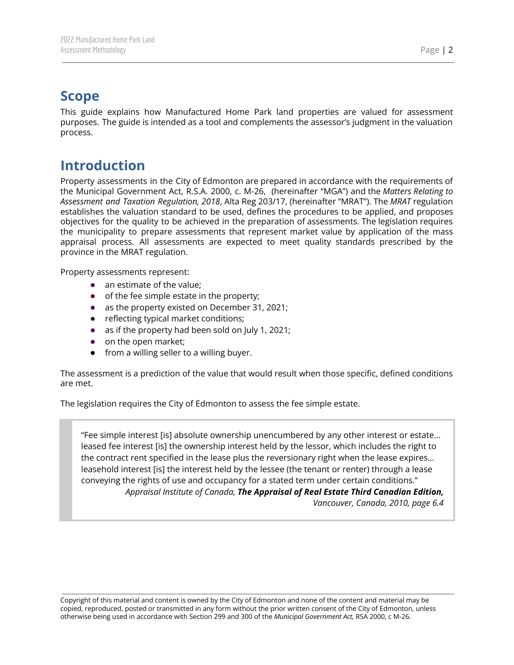# <span id="page-2-0"></span>**Scope**

This guide explains how Manufactured Home Park land properties are valued for assessment purposes. The guide is intended as a tool and complements the assessor's judgment in the valuation process.

# <span id="page-2-1"></span>**Introduction**

Property assessments in the City of Edmonton are prepared in accordance with the requirements of the Municipal Government Act, R.S.A. 2000, c. M-26, (hereinafter "MGA") and the *Matters Relating to Assessment and Taxation Regulation, 2018*, Alta Reg 203/17, (hereinafter "MRAT"). The *MRAT* regulation establishes the valuation standard to be used, defines the procedures to be applied, and proposes objectives for the quality to be achieved in the preparation of assessments. The legislation requires the municipality to prepare assessments that represent market value by application of the mass appraisal process. All assessments are expected to meet quality standards prescribed by the province in the MRAT regulation.

Property assessments represent:

- an estimate of the value;
- of the fee simple estate in the property;
- as the property existed on December 31, 2021;
- reflecting typical market conditions;
- as if the property had been sold on July 1, 2021;
- on the open market;
- from a willing seller to a willing buyer.

The assessment is a prediction of the value that would result when those specific, defined conditions are met.

The legislation requires the City of Edmonton to assess the fee simple estate.

"Fee simple interest [is] absolute ownership unencumbered by any other interest or estate… leased fee interest [is] the ownership interest held by the lessor, which includes the right to the contract rent specified in the lease plus the reversionary right when the lease expires… leasehold interest [is] the interest held by the lessee (the tenant or renter) through a lease conveying the rights of use and occupancy for a stated term under certain conditions." *Appraisal Institute of Canada, The Appraisal of Real Estate Third Canadian Edition, Vancouver, Canada, 2010, page 6.4*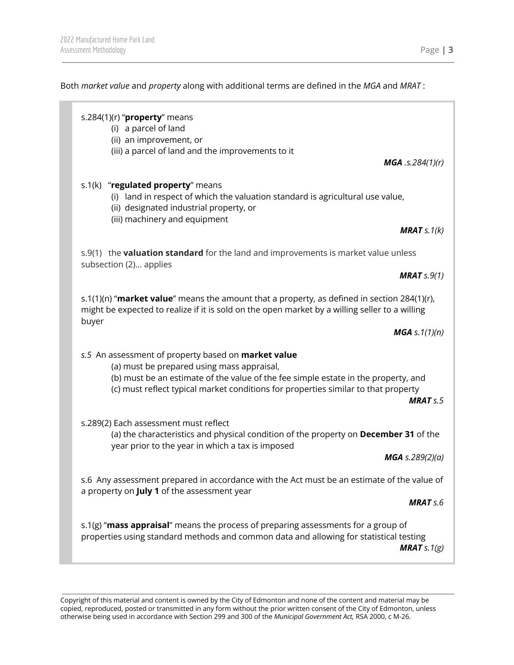Both *market value* and *property* along with additional terms are defined in the *MGA* and *MRAT* :

| s.284(1)(r) " $proper$ y means<br>(i) a parcel of land<br>(ii) an improvement, or<br>(iii) a parcel of land and the improvements to it                                                                                                                                                           |
|--------------------------------------------------------------------------------------------------------------------------------------------------------------------------------------------------------------------------------------------------------------------------------------------------|
| $MGA$ .s.284(1)(r)                                                                                                                                                                                                                                                                               |
| s.1(k) "regulated property" means<br>(i) land in respect of which the valuation standard is agricultural use value,<br>(ii) designated industrial property, or<br>(iii) machinery and equipment                                                                                                  |
| <b>MRAT</b> $s.1(k)$                                                                                                                                                                                                                                                                             |
| s.9(1) the valuation standard for the land and improvements is market value unless<br>subsection (2) applies                                                                                                                                                                                     |
| <b>MRAT</b> $s.9(1)$                                                                                                                                                                                                                                                                             |
| s.1(1)(n) "market value" means the amount that a property, as defined in section 284(1)(r),<br>might be expected to realize if it is sold on the open market by a willing seller to a willing<br>buyer                                                                                           |
| <b>MGA</b> s. $1(1)(n)$                                                                                                                                                                                                                                                                          |
| s.5 An assessment of property based on market value<br>(a) must be prepared using mass appraisal,<br>(b) must be an estimate of the value of the fee simple estate in the property, and<br>(c) must reflect typical market conditions for properties similar to that property<br><b>MRAT</b> s.5 |
| s.289(2) Each assessment must reflect<br>(a) the characteristics and physical condition of the property on December 31 of the<br>year prior to the year in which a tax is imposed                                                                                                                |
| MGA s.289(2)(a)                                                                                                                                                                                                                                                                                  |
| s.6 Any assessment prepared in accordance with the Act must be an estimate of the value of<br>a property on July 1 of the assessment year                                                                                                                                                        |
| <b>MRAT</b> s.6                                                                                                                                                                                                                                                                                  |
| s.1(g) "mass appraisal" means the process of preparing assessments for a group of<br>properties using standard methods and common data and allowing for statistical testing                                                                                                                      |

*MRAT s.1(g)*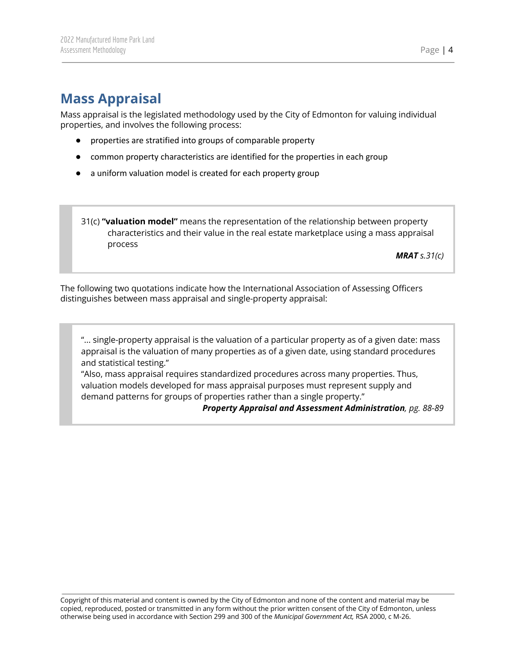# <span id="page-4-0"></span>**Mass Appraisal**

Mass appraisal is the legislated methodology used by the City of Edmonton for valuing individual properties, and involves the following process:

- properties are stratified into groups of comparable property
- common property characteristics are identified for the properties in each group
- a uniform valuation model is created for each property group
- 31(c) **"valuation model"** means the representation of the relationship between property characteristics and their value in the real estate marketplace using a mass appraisal process

*MRAT s.31(c)*

The following two quotations indicate how the International Association of Assessing Officers distinguishes between mass appraisal and single-property appraisal:

"... single-property appraisal is the valuation of a particular property as of a given date: mass appraisal is the valuation of many properties as of a given date, using standard procedures and statistical testing."

"Also, mass appraisal requires standardized procedures across many properties. Thus, valuation models developed for mass appraisal purposes must represent supply and demand patterns for groups of properties rather than a single property."

#### *Property Appraisal and Assessment Administration, pg. 88-89*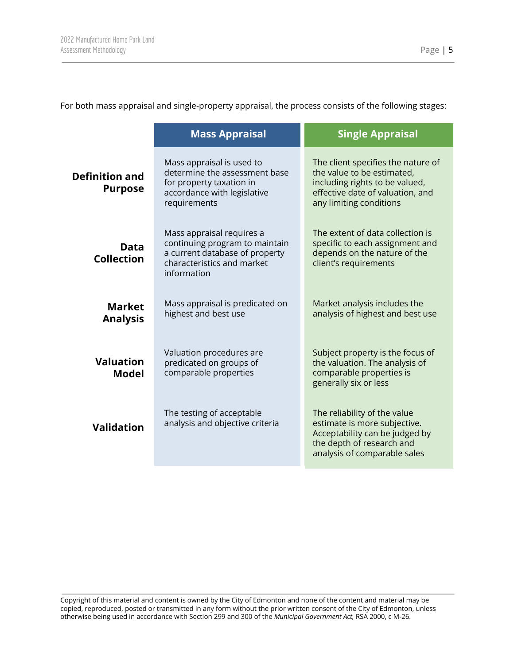For both mass appraisal and single-property appraisal, the process consists of the following stages:

|                                         | <b>Mass Appraisal</b>                                                                                                                                                                                                       | <b>Single Appraisal</b>                                                                                                                                           |
|-----------------------------------------|-----------------------------------------------------------------------------------------------------------------------------------------------------------------------------------------------------------------------------|-------------------------------------------------------------------------------------------------------------------------------------------------------------------|
| <b>Definition and</b><br><b>Purpose</b> | Mass appraisal is used to<br>determine the assessment base<br>for property taxation in<br>accordance with legislative<br>requirements                                                                                       | The client specifies the nature of<br>the value to be estimated,<br>including rights to be valued,<br>effective date of valuation, and<br>any limiting conditions |
| Data<br><b>Collection</b>               | Mass appraisal requires a<br>continuing program to maintain<br>a current database of property<br>characteristics and market<br>information                                                                                  | The extent of data collection is<br>specific to each assignment and<br>depends on the nature of the<br>client's requirements                                      |
| <b>Market</b><br><b>Analysis</b>        | Mass appraisal is predicated on<br>highest and best use                                                                                                                                                                     | Market analysis includes the<br>analysis of highest and best use                                                                                                  |
| <b>Valuation</b><br>Model               | Valuation procedures are<br>predicated on groups of<br>comparable properties                                                                                                                                                | Subject property is the focus of<br>the valuation. The analysis of<br>comparable properties is<br>generally six or less                                           |
| <b>Validation</b>                       | The testing of acceptable<br>The reliability of the value<br>analysis and objective criteria<br>estimate is more subjective.<br>Acceptability can be judged by<br>the depth of research and<br>analysis of comparable sales |                                                                                                                                                                   |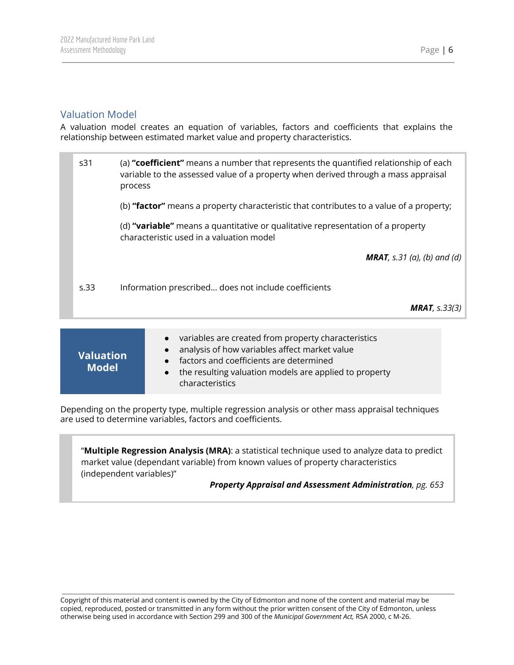## <span id="page-6-0"></span>Valuation Model

A valuation model creates an equation of variables, factors and coefficients that explains the relationship between estimated market value and property characteristics.

| s31  | (a) "coefficient" means a number that represents the quantified relationship of each<br>variable to the assessed value of a property when derived through a mass appraisal<br>process |
|------|---------------------------------------------------------------------------------------------------------------------------------------------------------------------------------------|
|      | (b) "factor" means a property characteristic that contributes to a value of a property;                                                                                               |
|      | (d) "variable" means a quantitative or qualitative representation of a property<br>characteristic used in a valuation model                                                           |
|      | <b>MRAT</b> , s.31 (a), (b) and (d)                                                                                                                                                   |
| s.33 | Information prescribed does not include coefficients                                                                                                                                  |
|      | <b>MRAT</b> , $s.33(3)$                                                                                                                                                               |
|      | المواطنة والمستقر والمستقام والمستنقر والمستقرق والمستقر والمستقر والمستقر والمارون والمارون والمراوي                                                                                 |

| <b>Valuation</b><br><b>Model</b> | • variables are created from property characteristics<br>• analysis of how variables affect market value<br>• factors and coefficients are determined<br>• the resulting valuation models are applied to property<br>characteristics |
|----------------------------------|--------------------------------------------------------------------------------------------------------------------------------------------------------------------------------------------------------------------------------------|
|----------------------------------|--------------------------------------------------------------------------------------------------------------------------------------------------------------------------------------------------------------------------------------|

Depending on the property type, multiple regression analysis or other mass appraisal techniques are used to determine variables, factors and coefficients.

"**Multiple Regression Analysis (MRA)**: a statistical technique used to analyze data to predict market value (dependant variable) from known values of property characteristics (independent variables)"

#### *Property Appraisal and Assessment Administration, pg. 653*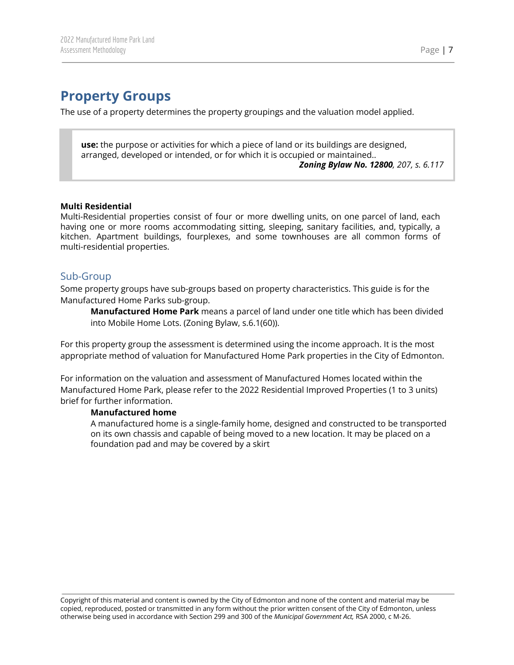# <span id="page-7-0"></span>**Property Groups**

The use of a property determines the property groupings and the valuation model applied.

**use:** the purpose or activities for which a piece of land or its buildings are designed, arranged, developed or intended, or for which it is occupied or maintained..

*Zoning Bylaw No. 12800, 207, s. 6.117*

#### **Multi Residential**

Multi-Residential properties consist of four or more dwelling units, on one parcel of land, each having one or more rooms accommodating sitting, sleeping, sanitary facilities, and, typically, a kitchen. Apartment buildings, fourplexes, and some townhouses are all common forms of multi-residential properties.

## <span id="page-7-1"></span>Sub-Group

Some property groups have sub-groups based on property characteristics. This guide is for the Manufactured Home Parks sub-group.

**Manufactured Home Park** means a parcel of land under one title which has been divided into Mobile Home Lots. (Zoning Bylaw, s.6.1(60)).

For this property group the assessment is determined using the income approach. It is the most appropriate method of valuation for Manufactured Home Park properties in the City of Edmonton.

For information on the valuation and assessment of Manufactured Homes located within the Manufactured Home Park, please refer to the 2022 Residential Improved Properties (1 to 3 units) brief for further information.

#### **Manufactured home**

A manufactured home is a single-family home, designed and constructed to be transported on its own chassis and capable of being moved to a new location. It may be placed on a foundation pad and may be covered by a skirt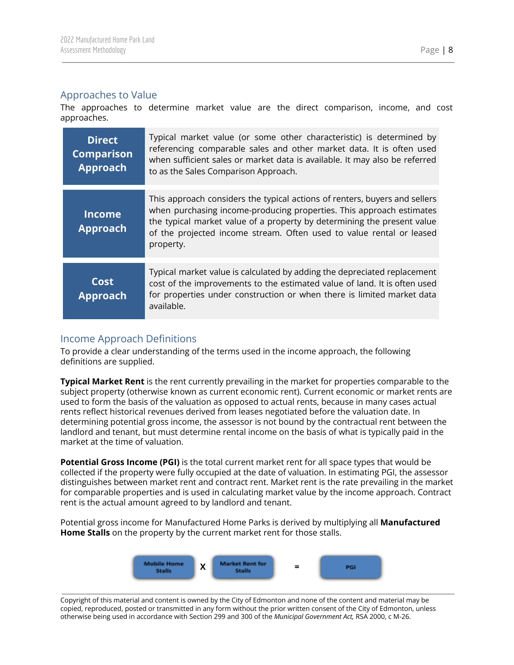## <span id="page-8-0"></span>Approaches to Value

The approaches to determine market value are the direct comparison, income, and cost approaches.

| <b>Direct</b><br><b>Comparison</b><br>Approach | Typical market value (or some other characteristic) is determined by<br>referencing comparable sales and other market data. It is often used<br>when sufficient sales or market data is available. It may also be referred<br>to as the Sales Comparison Approach.                                                 |
|------------------------------------------------|--------------------------------------------------------------------------------------------------------------------------------------------------------------------------------------------------------------------------------------------------------------------------------------------------------------------|
| <b>Income</b><br><b>Approach</b>               | This approach considers the typical actions of renters, buyers and sellers<br>when purchasing income-producing properties. This approach estimates<br>the typical market value of a property by determining the present value<br>of the projected income stream. Often used to value rental or leased<br>property. |
| Cost<br><b>Approach</b>                        | Typical market value is calculated by adding the depreciated replacement<br>cost of the improvements to the estimated value of land. It is often used<br>for properties under construction or when there is limited market data<br>available.                                                                      |

## <span id="page-8-1"></span>Income Approach Definitions

To provide a clear understanding of the terms used in the income approach, the following definitions are supplied.

**Typical Market Rent** is the rent currently prevailing in the market for properties comparable to the subject property (otherwise known as current economic rent). Current economic or market rents are used to form the basis of the valuation as opposed to actual rents, because in many cases actual rents reflect historical revenues derived from leases negotiated before the valuation date. In determining potential gross income, the assessor is not bound by the contractual rent between the landlord and tenant, but must determine rental income on the basis of what is typically paid in the market at the time of valuation.

**Potential Gross Income (PGI)** is the total current market rent for all space types that would be collected if the property were fully occupied at the date of valuation. In estimating PGI, the assessor distinguishes between market rent and contract rent. Market rent is the rate prevailing in the market for comparable properties and is used in calculating market value by the income approach. Contract rent is the actual amount agreed to by landlord and tenant.

Potential gross income for Manufactured Home Parks is derived by multiplying all **Manufactured Home Stalls** on the property by the current market rent for those stalls.



Copyright of this material and content is owned by the City of Edmonton and none of the content and material may be copied, reproduced, posted or transmitted in any form without the prior written consent of the City of Edmonton, unless otherwise being used in accordance with Section 299 and 300 of the *Municipal Government Act,* RSA 2000, c M-26.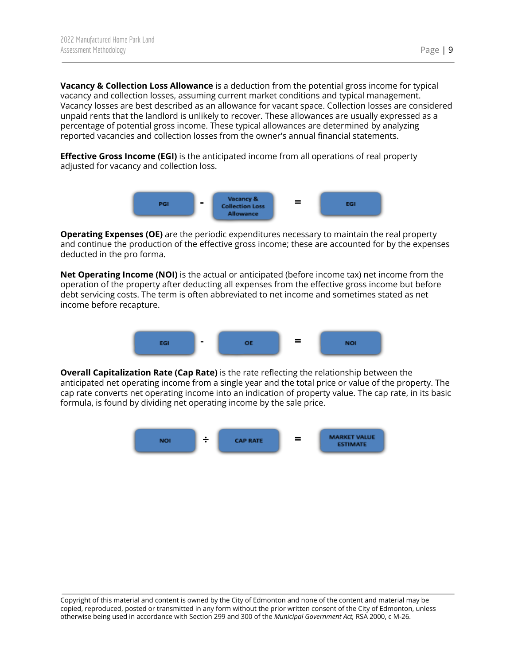**Vacancy & Collection Loss Allowance** is a deduction from the potential gross income for typical vacancy and collection losses, assuming current market conditions and typical management. Vacancy losses are best described as an allowance for vacant space. Collection losses are considered unpaid rents that the landlord is unlikely to recover. These allowances are usually expressed as a percentage of potential gross income. These typical allowances are determined by analyzing reported vacancies and collection losses from the owner's annual financial statements.

**Effective Gross Income (EGI)** is the anticipated income from all operations of real property adjusted for vacancy and collection loss.



**Operating Expenses (OE)** are the periodic expenditures necessary to maintain the real property and continue the production of the effective gross income; these are accounted for by the expenses deducted in the pro forma.

**Net Operating Income (NOI)** is the actual or anticipated (before income tax) net income from the operation of the property after deducting all expenses from the effective gross income but before debt servicing costs. The term is often abbreviated to net income and sometimes stated as net income before recapture.



**Overall Capitalization Rate (Cap Rate)** is the rate reflecting the relationship between the anticipated net operating income from a single year and the total price or value of the property. The cap rate converts net operating income into an indication of property value. The cap rate, in its basic formula, is found by dividing net operating income by the sale price.

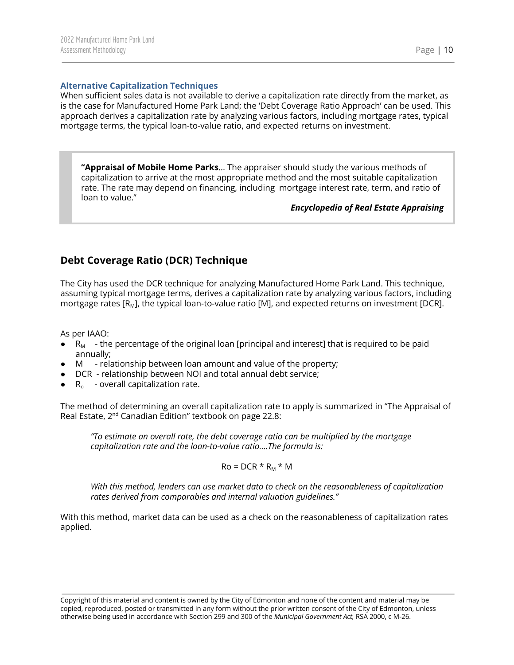<span id="page-10-0"></span>When sufficient sales data is not available to derive a capitalization rate directly from the market, as is the case for Manufactured Home Park Land; the 'Debt Coverage Ratio Approach' can be used. This approach derives a capitalization rate by analyzing various factors, including mortgage rates, typical mortgage terms, the typical loan-to-value ratio, and expected returns on investment.

**"Appraisal of Mobile Home Parks**... The appraiser should study the various methods of capitalization to arrive at the most appropriate method and the most suitable capitalization rate. The rate may depend on financing, including mortgage interest rate, term, and ratio of loan to value."

*Encyclopedia of Real Estate Appraising*

## <span id="page-10-1"></span>**Debt Coverage Ratio (DCR) Technique**

The City has used the DCR technique for analyzing Manufactured Home Park Land. This technique, assuming typical mortgage terms, derives a capitalization rate by analyzing various factors, including mortgage rates [R<sub>M</sub>], the typical loan-to-value ratio [M], and expected returns on investment [DCR].

As per IAAO:

- $\bullet$  R<sub>M</sub> the percentage of the original loan [principal and interest] that is required to be paid annually;
- M relationship between loan amount and value of the property;
- DCR relationship between NOI and total annual debt service;
- $\bullet$  R<sub>o</sub> overall capitalization rate.

The method of determining an overall capitalization rate to apply is summarized in "The Appraisal of Real Estate, 2<sup>nd</sup> Canadian Edition" textbook on page 22.8:

*"To estimate an overall rate, the debt coverage ratio can be multiplied by the mortgage capitalization rate and the loan-to-value ratio….The formula is:*

 $Ro = DCR * R_M * M$ 

*With this method, lenders can use market data to check on the reasonableness of capitalization rates derived from comparables and internal valuation guidelines."*

With this method, market data can be used as a check on the reasonableness of capitalization rates applied.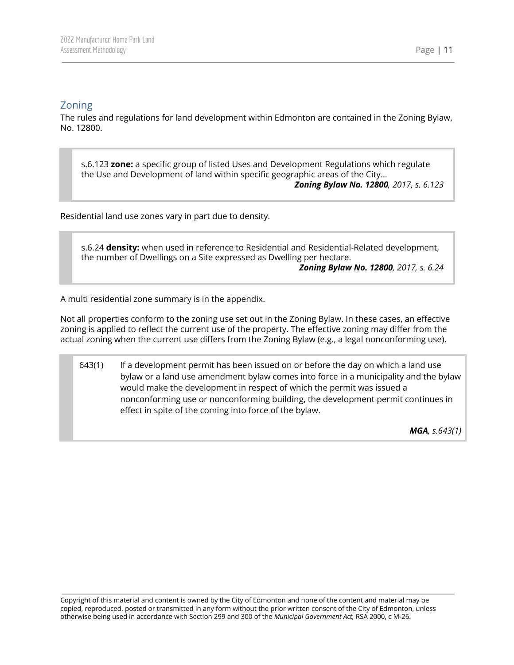## <span id="page-11-0"></span>Zoning

The rules and regulations for land development within Edmonton are contained in the Zoning Bylaw, No. 12800.

s.6.123 **zone:** a specific group of listed Uses and Development Regulations which regulate the Use and Development of land within specific geographic areas of the City...

*Zoning Bylaw No. 12800, 2017, s. 6.123*

Residential land use zones vary in part due to density.

s.6.24 **density:** when used in reference to Residential and Residential-Related development, the number of Dwellings on a Site expressed as Dwelling per hectare. *Zoning Bylaw No. 12800, 2017, s. 6.24*

A multi residential zone summary is in the appendix.

Not all properties conform to the zoning use set out in the Zoning Bylaw. In these cases, an effective zoning is applied to reflect the current use of the property. The effective zoning may differ from the actual zoning when the current use differs from the Zoning Bylaw (e.g., a legal nonconforming use).

643(1) If a development permit has been issued on or before the day on which a land use bylaw or a land use amendment bylaw comes into force in a municipality and the bylaw would make the development in respect of which the permit was issued a nonconforming use or nonconforming building, the development permit continues in effect in spite of the coming into force of the bylaw.

*MGA, s.643(1)*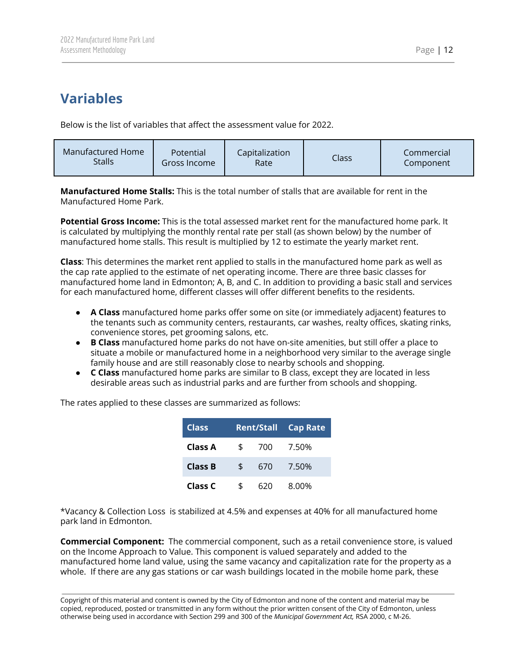# <span id="page-12-0"></span>**Variables**

Below is the list of variables that affect the assessment value for 2022.

| Manufactured Home | Potential    | Capitalization | Class | Commercial |
|-------------------|--------------|----------------|-------|------------|
| Stalls            | Gross Income | Ratel          |       | Component  |

**Manufactured Home Stalls:** This is the total number of stalls that are available for rent in the Manufactured Home Park.

**Potential Gross Income:** This is the total assessed market rent for the manufactured home park. It is calculated by multiplying the monthly rental rate per stall (as shown below) by the number of manufactured home stalls. This result is multiplied by 12 to estimate the yearly market rent.

**Class**: This determines the market rent applied to stalls in the manufactured home park as well as the cap rate applied to the estimate of net operating income. There are three basic classes for manufactured home land in Edmonton; A, B, and C. In addition to providing a basic stall and services for each manufactured home, different classes will offer different benefits to the residents.

- **A Class** manufactured home parks offer some on site (or immediately adjacent) features to the tenants such as community centers, restaurants, car washes, realty offices, skating rinks, convenience stores, pet grooming salons, etc.
- **B Class** manufactured home parks do not have on-site amenities, but still offer a place to situate a mobile or manufactured home in a neighborhood very similar to the average single family house and are still reasonably close to nearby schools and shopping.
- **C Class** manufactured home parks are similar to B class, except they are located in less desirable areas such as industrial parks and are further from schools and shopping.

| <b>Class</b>   | <b>Rent/Stall Cap Rate</b> |     |       |
|----------------|----------------------------|-----|-------|
| Class A        | \$                         | 700 | 7.50% |
| <b>Class B</b> | \$                         | 670 | 7.50% |
| Class C        |                            | 620 | 8.00% |

The rates applied to these classes are summarized as follows:

\*Vacancy & Collection Loss is stabilized at 4.5% and expenses at 40% for all manufactured home park land in Edmonton.

**Commercial Component:** The commercial component, such as a retail convenience store, is valued on the Income Approach to Value. This component is valued separately and added to the manufactured home land value, using the same vacancy and capitalization rate for the property as a whole. If there are any gas stations or car wash buildings located in the mobile home park, these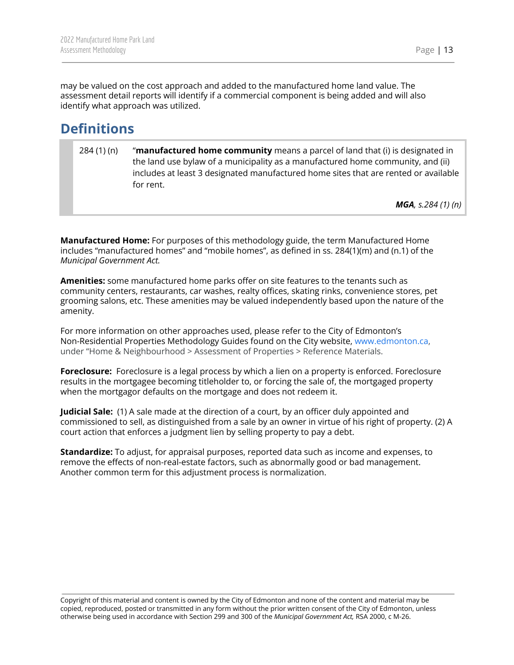may be valued on the cost approach and added to the manufactured home land value. The assessment detail reports will identify if a commercial component is being added and will also identify what approach was utilized.

# <span id="page-13-0"></span>**Definitions**

284 (1) (n) "**manufactured home community** means a parcel of land that (i) is designated in the land use bylaw of a municipality as a manufactured home community, and (ii) includes at least 3 designated manufactured home sites that are rented or available for rent.

*MGA, s.284 (1) (n)*

**Manufactured Home:** For purposes of this methodology guide, the term Manufactured Home includes "manufactured homes" and "mobile homes", as defined in ss. 284(1)(m) and (n.1) of the *Municipal Government Act.*

**Amenities:** some manufactured home parks offer on site features to the tenants such as community centers, restaurants, car washes, realty offices, skating rinks, convenience stores, pet grooming salons, etc. These amenities may be valued independently based upon the nature of the amenity.

For more information on other approaches used, please refer to the City of Edmonton's Non-Residential Properties Methodology Guides found on the City website, [www.edmonton.ca](http://www.edmonton.ca), under "Home & Neighbourhood > Assessment of Properties > Reference Materials.

**Foreclosure:** Foreclosure is a legal process by which a lien on a property is enforced. Foreclosure results in the mortgagee becoming titleholder to, or forcing the sale of, the mortgaged property when the mortgagor defaults on the mortgage and does not redeem it.

**Judicial Sale:** (1) A sale made at the direction of a court, by an officer duly appointed and commissioned to sell, as distinguished from a sale by an owner in virtue of his right of property. (2) A court action that enforces a judgment lien by selling property to pay a debt.

**Standardize:** To adjust, for appraisal purposes, reported data such as income and expenses, to remove the effects of non-real-estate factors, such as abnormally good or bad management. Another common term for this adjustment process is normalization.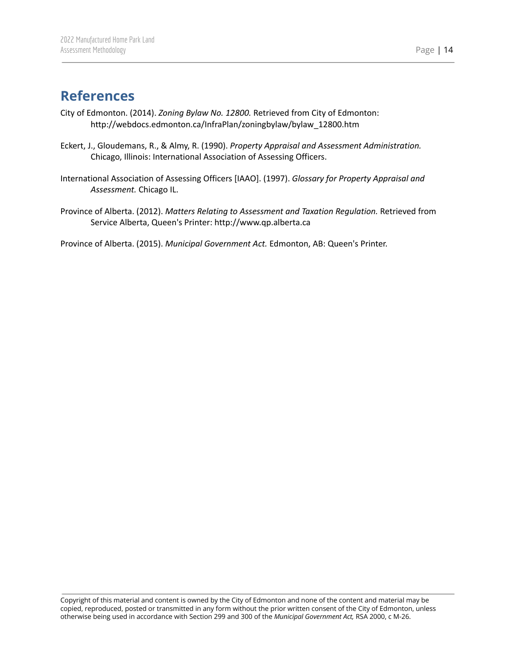## <span id="page-14-0"></span>**References**

- City of Edmonton. (2014). *Zoning Bylaw No. 12800.* Retrieved from City of Edmonton: http://webdocs.edmonton.ca/InfraPlan/zoningbylaw/bylaw\_12800.htm
- Eckert, J., Gloudemans, R., & Almy, R. (1990). *Property Appraisal and Assessment Administration.* Chicago, Illinois: International Association of Assessing Officers.
- International Association of Assessing Officers [IAAO]. (1997). *Glossary for Property Appraisal and Assessment.* Chicago IL.
- Province of Alberta. (2012). *Matters Relating to Assessment and Taxation Regulation.* Retrieved from Service Alberta, Queen's Printer: http://www.qp.alberta.ca

Province of Alberta. (2015). *Municipal Government Act.* Edmonton, AB: Queen's Printer.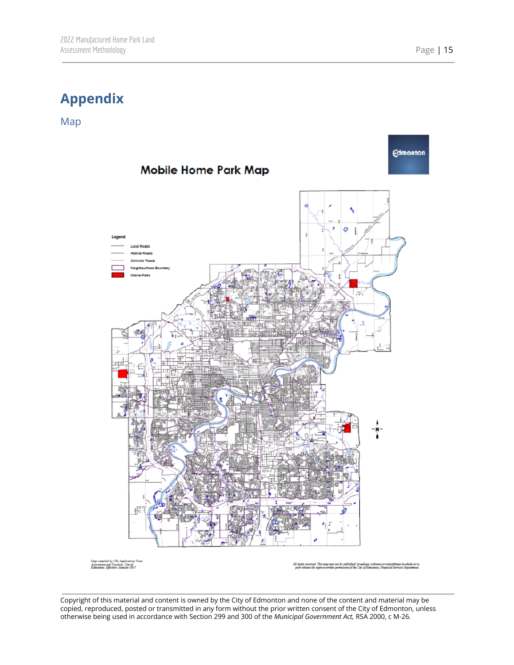# <span id="page-15-0"></span>**Appendix**

<span id="page-15-1"></span>Map



My compled by The Application 1<br>Ananment and Taxation, City of<br>Edmonton, Effective: January 1017

.<br>In the map way not be published, broadcast redram or redictibuted in w<br>the express writes permission of the City of Edmonton, Financial Services De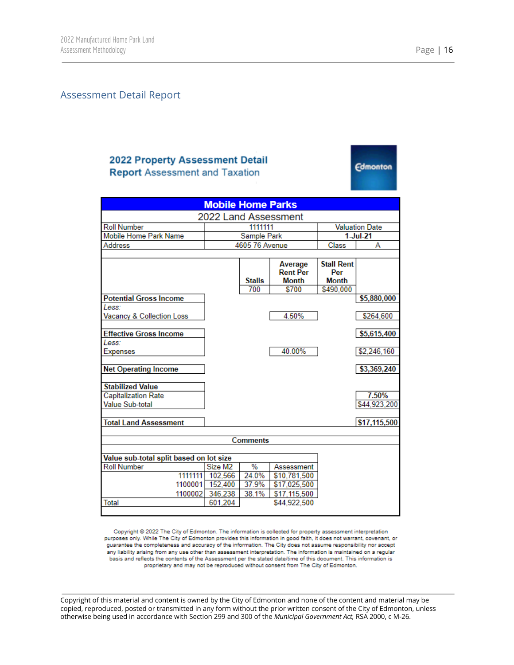**Edmonton** 

#### <span id="page-16-0"></span>Assessment Detail Report

#### **2022 Property Assessment Detail Report Assessment and Taxation**

**Mobile Home Parks** 2022 Land Assessment **Roll Number** 1111111 **Valuation Date** Mobile Home Park Name Sample Park  $1$ -Jul-21 4605 76 Avenue Class Address А **Stall Rent** Average **Rent Per** Per **Stalls Month Month** 700 \$700 \$490,000 **Potential Gross Income** \$5,880,000 Less: 4.50% \$264,600 Vacancy & Collection Loss **Effective Gross Income** \$5,615,400 Less: 40.00% \$2,246,160 Expenses **Net Operating Income** \$3,369,240 **Stabilized Value** Capitalization Rate 7.50% Value Sub-total \$44,923,200 \$17,115,500 **Total Land Assessment Comments** Value sub-total split based on lot size Size M2 **Roll Number** % Assessment 1111111 102,566 24.0% \$10,781,500 1100001 152,400 37.9% \$17,025,500 1100002 346,238 38.1% \$17,115,500 Total 601,204 \$44,922,500

Copyright @ 2022 The City of Edmonton. The information is collected for property assessment interpretation purposes only. While The City of Edmonton provides this information in good faith, it does not warrant, covenant, or guarantee the completeness and accuracy of the information. The City does not assume responsibility nor accept any liability arising from any use other than assessment interpretation. The information is maintained on a regular basis and reflects the contents of the Assessment per the stated date/time of this document. This information is proprietary and may not be reproduced without consent from The City of Edmonton.